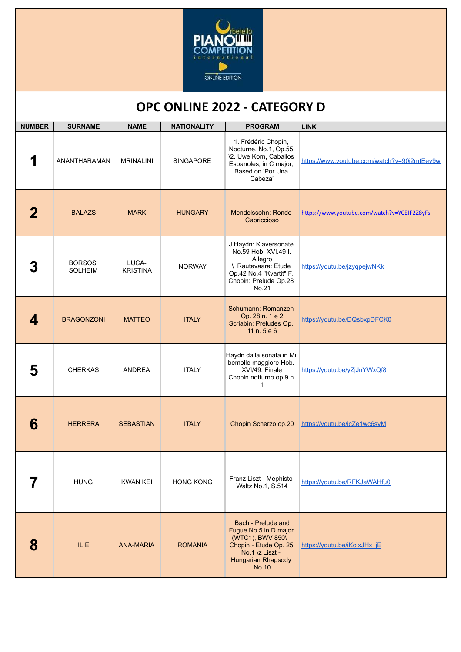

## **OPC ONLINE 2022 - CATEGORY D**

| <b>NUMBER</b> | <b>SURNAME</b>                  | <b>NAME</b>              | <b>NATIONALITY</b> | <b>PROGRAM</b>                                                                                                                                    | <b>LINK</b>                                 |
|---------------|---------------------------------|--------------------------|--------------------|---------------------------------------------------------------------------------------------------------------------------------------------------|---------------------------------------------|
| 1             | ANANTHARAMAN                    | <b>MRINALINI</b>         | <b>SINGAPORE</b>   | 1. Frédéric Chopin,<br>Nocturne, No.1, Op.55<br>\2. Uwe Korn, Caballos<br>Espanoles, in C major,<br>Based on 'Por Una<br>Cabeza'                  | https://www.youtube.com/watch?v=90j2mtEey9w |
|               | <b>BALAZS</b>                   | <b>MARK</b>              | <b>HUNGARY</b>     | Mendelssohn: Rondo<br>Capriccioso                                                                                                                 | https://www.youtube.com/watch?v=YCEJF2Z8yFs |
|               | <b>BORSOS</b><br><b>SOLHEIM</b> | LUCA-<br><b>KRISTINA</b> | <b>NORWAY</b>      | J.Haydn: Klaversonate<br>No.59 Hob. XVI.49 I.<br>Allegro<br>\ Rautavaara: Etude<br>Op.42 No.4 "Kvartit" F.<br>Chopin: Prelude Op.28<br>No.21      | https://youtu.be/jzyqpejwNKk                |
| 4             | <b>BRAGONZONI</b>               | <b>MATTEO</b>            | <b>ITALY</b>       | Schumann: Romanzen<br>Op. 28 n. 1 e 2<br>Scriabin: Préludes Op.<br>11 n. 5 e 6                                                                    | https://youtu.be/DQsbxpDFCK0                |
| 5             | <b>CHERKAS</b>                  | <b>ANDREA</b>            | <b>ITALY</b>       | Haydn dalla sonata in Mi<br>bemolle maggiore Hob.<br>XVI/49: Finale<br>Chopin notturno op.9 n.<br>1                                               | https://youtu.be/yZjJnYWxQf8                |
| 6             | <b>HERRERA</b>                  | <b>SEBASTIAN</b>         | <b>ITALY</b>       | Chopin Scherzo op.20                                                                                                                              | https://youtu.be/jcZe1wc6svM                |
|               | <b>HUNG</b>                     | <b>KWAN KEI</b>          | <b>HONG KONG</b>   | Franz Liszt - Mephisto<br>Waltz No.1, S.514                                                                                                       | https://youtu.be/RFKJaWAHfu0                |
| 8             | <b>ILIE</b>                     | <b>ANA-MARIA</b>         | <b>ROMANIA</b>     | Bach - Prelude and<br>Fugue No.5 in D major<br>(WTC1), BWV 850\<br>Chopin - Etude Op. 25<br>No.1 \z Liszt -<br>Hungarian Rhapsody<br><b>No.10</b> | https://youtu.be/iKoixJHx_jE                |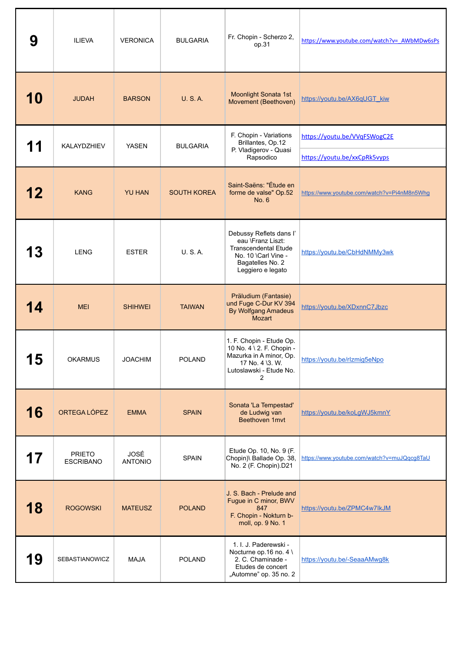| 9          | <b>ILIEVA</b>                     | <b>VERONICA</b>               | <b>BULGARIA</b>    | Fr. Chopin - Scherzo 2,<br>op.31                                                                                                            | https://www.youtube.com/watch?v= AWbMDw6sPs                  |
|------------|-----------------------------------|-------------------------------|--------------------|---------------------------------------------------------------------------------------------------------------------------------------------|--------------------------------------------------------------|
| <b>10</b>  | <b>JUDAH</b>                      | <b>BARSON</b>                 | <b>U.S.A.</b>      | <b>Moonlight Sonata 1st</b><br>Movement (Beethoven)                                                                                         | https://youtu.be/AX6qUGT_kiw                                 |
| 11         | KALAYDZHIEV                       | <b>YASEN</b>                  | <b>BULGARIA</b>    | F. Chopin - Variations<br>Brillantes, Op.12<br>P. Vladigerov - Quasi<br>Rapsodico                                                           | https://youtu.be/VVqFSWogC2E<br>https://youtu.be/xxCpRk5vyps |
| 12         | <b>KANG</b>                       | <b>YU HAN</b>                 | <b>SOUTH KOREA</b> | Saint-Saëns: "Étude en<br>forme de valse" Op.52<br>No. 6                                                                                    | https://www.youtube.com/watch?v=Pi4nM8n5Whg                  |
| 13         | <b>LENG</b>                       | <b>ESTER</b>                  | <b>U.S.A.</b>      | Debussy Reflets dans l'<br>eau \Franz Liszt:<br><b>Transcendental Etude</b><br>No. 10 \Carl Vine -<br>Bagatelles No. 2<br>Leggiero e legato | https://youtu.be/CbHdNMMy3wk                                 |
| 14         | <b>MEI</b>                        | <b>SHIHWEI</b>                | <b>TAIWAN</b>      | Präludium (Fantasie)<br>und Fuge C-Dur KV 394<br><b>By Wolfgang Amadeus</b><br>Mozart                                                       | https://youtu.be/XDxnnC7Jbzc                                 |
| 4 E<br>U I | <b>OKARMUS</b>                    | <b>JOACHIM</b>                | <b>POLAND</b>      | 1. F. Chopin - Etude Op.<br>10 No. 4 \ 2. F. Chopin -<br>Mazurka in A minor, Op.<br>17 No. 4 \3. W.<br>Lutoslawski - Etude No.<br>2         | https://youtu.be/rlzmig5eNpo                                 |
| 16         | ORTEGA LÓPEZ                      | <b>EMMA</b>                   | <b>SPAIN</b>       | Sonata 'La Tempestad'<br>de Ludwig van<br>Beethoven 1mvt                                                                                    | https://youtu.be/koLgWJ5kmnY                                 |
| 17         | <b>PRIETO</b><br><b>ESCRIBANO</b> | <b>JOSÉ</b><br><b>ANTONIO</b> | <b>SPAIN</b>       | Etude Op. 10, No. 9 (F.<br>Chopin)\ Ballade Op. 38,<br>No. 2 (F. Chopin).D21                                                                | https://www.youtube.com/watch?v=muJQqcg8TaU                  |
| 18         | <b>ROGOWSKI</b>                   | <b>MATEUSZ</b>                | <b>POLAND</b>      | J. S. Bach - Prelude and<br>Fugue in C minor, BWV<br>847<br>F. Chopin - Nokturn b-<br>moll, op. 9 No. 1                                     | https://youtu.be/ZPMC4w7lkJM                                 |
| 19         | <b>SEBASTIANOWICZ</b>             | <b>MAJA</b>                   | <b>POLAND</b>      | 1. I. J. Paderewski -<br>Nocturne op.16 no. 4 \<br>2. C. Chaminade -<br>Etudes de concert<br>"Automne" op. 35 no. 2                         | https://youtu.be/-SeaaAMwg8k                                 |